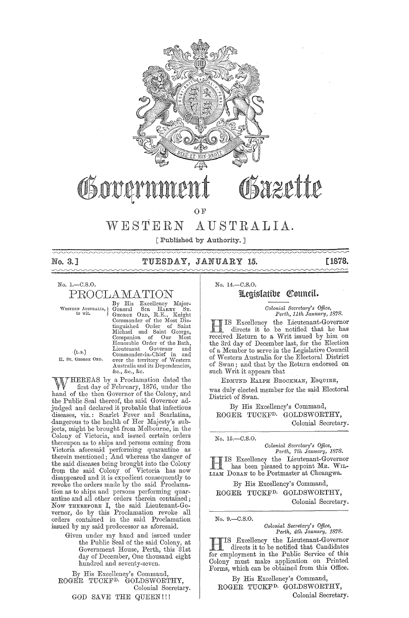

# WESTERN AUSTRALIA.

[Published by Authority. ]

# No. 3.] TUESDAY, JANUARY 15. [1878.

 $\sim$ 

No. 1.-C.S.0.

PROOLAMATION

By His Excellency Major-<br>
WESTERN AUSTRALIA, General SIR HARRY ST.<br>
to wit. GEORGE ORD, R.E., Knight Commander of the Most Dis-<br>
tinguished Order of Saint George,<br>
Michael and Saint George,<br>
Companion of Our Most<br>
Honorable Order of the Bath,<br>
Lieutenant Governor and<br>
(L.S.) (L.S.) Commander-in-Chief in and H. Sr. GEORGE ORD. over the territory of Western Australia and its Dependencies, &c., &c., &c.

WHEREAS by a Proclamation dated the first day of February, 1876, under the contract of the Colorer and hand of the then Governor of the Colony, and the Public Seal thereof, the said Governor adjudged and declared it probable that infectious diseases, viz.: Scarlet Fever and Scarlatina, dangerous to the health of Her Majesty's subjects, might be brought from Melbourne, in the Colony of Victoria, and issued certain orders thereupon as to ships and persons coming from Victoria aforesaid performing quarantine as therein mentioned; And whereas the danger of the said diseases being brought into the Colony from the said Colony of Victoria has now disappeared and it is expedient consequently to revoke the orders made by the said Proclamation as to ships and persons performing quarantine and all other orders therein contained; Now THEREFORE I, the said Lieutenant-Governor, do by this Proclamation revoke all orders contained in the said Proclamation issued by my said predecessor as aforesaid.

Given under my hand and issued under the Public Seal of the said Colony, at Government House, Perth, this 31st day of December, One thousand eight hundred and seventy -seven.

By His Excellency's Command, ROGER TUCKFD. GOLDSWORTHY, Colonial Secretary. GOD SAVE THE QUEEN!!!

No. 14.-C.S.0.

# Legislatibe Council.

*Colonial Secretary's Office,*<br>*Perth, 11th January, 1878.* 

III IS Excellency the Lieutenant-Governor<br>directs it to be notified that he has IS Excellency the Lieutenant-Governor received Return to a Writ issued by him on the 3rd day of December last, for the Election the 3rd day of December last, for the Election<br>of a Member to serve in the Legislative Council of VVestern Australia for the Electoral District of Swan; and that by the Return endorsed on such Writ it appears that

EDMUND RALPH BROCKMAN, ESQUIRE, was duly elected member for the said Electoral District of Swan.

By His Excellency's Command, ROGER TUCKFD. GOLDSWORTHY, Colonial Secretary.

No. 15.-C.S.0.

*Colonial Secretary's Office,*<br>*Perth, 7th January, 1878.* 

HIS Excellency the Lieutenant-Governor has been pleased to appoint MR. WIL-LIAM DORAN to be Postmaster at Cheangwa.

By His Excellency's Command, ROGER TUCKFD. GOLDSWORTHY,

Colonial Secretary.

No. 9.-C.S.0.

*Colonial Sec)'etary's Office, Pej·th, 4th Janual-Y, 1878.* 

HIS Excellency the Lieutenant-Governor directs it to be notified that Candidates for employment in the Public Service of this Colony must make application on Printed Forms, which can be obtained from this Office.

By His Excellency's Command, ROGER TUCKF<sup>D.</sup> GOLDSWORTHY, Colonial Secretary.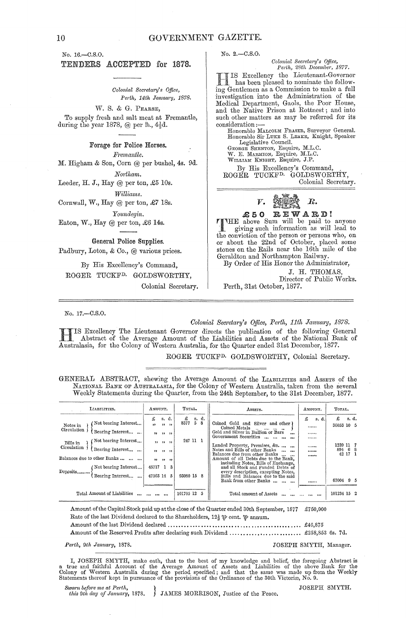No.2.-C.S.0.

No. 16.-C.S.0.

#### TENDERS ACCEPTED for 1878.

*Colonial Secretary's Office, Pe,·th, 14th January, 1878.* 

W. S. & G. PEARSE,

To supply fresh and salt meat at Fremantle, during the year 1878,  $@$  per  $th$ ,  $4\frac{1}{2}d$ .

#### Forage for Police Horses.

*F1·emantle.* 

M. Higham & Son, Corn @ per bushel, 4s. 9d.

 $Northam.$ 

Leeder, H. J., Hay $\textcircled{a}$  per ton,  $\pounds 5$  10s.

 $Williams.$ 

Cornwall, W., Hay @ per ton, £7 18s.

*Youndegin.* 

Eaton, W., Hay @ per ton, £6 14s.

General Police Supplies.

Padbury, Loton, & Co., @ various prices.

By His Excellency's Command, ROGER TUCKFD. GOLDSWORTHY,

Colonial Secretary.

No. 17.-C.S.O.

#### *Oolonial Secretary's QUice, Perth, 11th January, 1878.*

HIS Excellency The Lieutenant Governor directs the publication of the following General<br>Abstract of the Average Amount of the Liabilities and Assets of the National Bank of<br>Australian for the Colony of Wostern Australia fo Australasia, for the Colony of Western Australia, for the Quarter ended 31st December, 1877.

ROGER TUCKF<sup>D.</sup> GOLDSWORTHY, Colonial Secretary.

GENERAL ABSTRACT, shewing the Average Amount of the LIABILITIES and Assers of the NATIONAL BANK OF AUSTRALASIA, for the Colony of Western Australia, taken from the several Weekly Statements during the Quarter, from the 24th September, to the 31st December, 1877.

| LIABILITIES.                                                                                                                           | AMOUNT.        |               |                                    | TOTAL.      |  |             | ASSETS.                                                                                                                                                                                                                                                                  | AMOUNT.       |       | Тотлт.               |         |       |
|----------------------------------------------------------------------------------------------------------------------------------------|----------------|---------------|------------------------------------|-------------|--|-------------|--------------------------------------------------------------------------------------------------------------------------------------------------------------------------------------------------------------------------------------------------------------------------|---------------|-------|----------------------|---------|-------|
| Not bearing Interest<br>Notes in<br>Circulation<br>Bearing Interest                                                                    | £<br>$\bullet$ |               | s. d.<br>$22 - 32$                 | £<br>8377   |  | s. d.<br>58 | Coined Gold and Silver and other<br>Coined Metals<br>and the second second<br>Gold and Silver in Bullion or Bars<br>$\cdots$<br>Government Securities<br>$\cdots$                                                                                                        | £<br><br><br> | s. d. | £<br>36053 10 5      |         | s. d. |
| Not bearing Interest<br>Bills in<br>Circulation<br>Bearing Interest<br>Balances due to other Banks<br>Not bearing Interest<br>Deposits | 45717 1        | , , , , , , , | $33 - 33 - 33$<br>11 11 11 11<br>3 | 247 11 1    |  |             | Landed Property, Premises, &c.<br>Notes and Bills of other Banks<br>$\cdots$<br>Balances due from other Banks<br>Amount of all Debts due to the Bank,<br>including Notes, Bills of Exchange,<br>and all Stock and Funded Debts of<br>every description, excepting Notes, | <br><br>      |       | 1239 11 7<br>894 6 8 | 42 17 1 |       |
| Bearing Interest                                                                                                                       | 47363 14 5     |               |                                    | 93080 15 8  |  |             | Bills and Balances due to the said<br>Bank from other Banks                                                                                                                                                                                                              |               |       | 63004 9 5            |         |       |
| Total Amount of Liabilities                                                                                                            |                |               |                                    | 101705 12 5 |  |             | Total amount of Assets                                                                                                                                                                                                                                                   | .             |       | 101234 15 2          |         |       |

Amount of the Capital Stock paid up atthe close of the Quarter ended 30th September, 1877 £750,000 Rate of the last Dividend declared to the Shareholders,  $12\frac{1}{9}$   $\oplus$  cent.  $\oplus$  annum.

Amount of the last Dividend declared ................................................ £46,875

Amount of the Reserved Profits after declaring such Dividend ....•••••.• '" ., ..•••••.•• £258,853 6s. 7d.

Perth, 9th January, 1878. **Perth, 9th January, 1878. JOSEPH SMYTH**, Manager.

I, JOSEPH SMYTH, make oath, that to the best of my knowledge and belief, the foregoing Abstract is<br>a true and faithful Account of the Average Amount of Assets and Liabilities of the above Bank for the<br>Colony of Western Aus

*Sworn before me at Perth,*<br>this 9th day of January, 1878. JAMES MORRISON, Justice of the Peace. JOSEPH SMYTH.

*Colonial Secj'etary's Office, Perth, 28th December, 1877.*  HIS Excellency the Lieutenant-Governor has been pleased to nominate the follow-

ing Gentlemen as a Commission to make a full investigation into the Administration of the Medical Department, Gaols, the Poor House, and the Native Prison at Rottnest; and into such other matters as may be referred for its consideration ;- Honorable MALCOLM FRaSER, Surveyor General. Honorable Sir LUKE S. LEAKE, Knight, Speaker

Legislative Council. George Shenton, Esquire, M.L.C.<br>W. E. Marmion, Esquire, M.L.C.<br>William Knight, Esquire, J.P. By His Excellency's Command, . ROGER TUCKFD. GOLDSWORTHY,

Colonial Secretary.



£50 REWARD!

THE above Sum will be paid to anyone<br>giving such information as will lead to<br>the conviction of the person or persons who on the conviction of the person or persons who, on or about the 22nd of October, placed some stones on the Rails near the 16th mile of the Geraldton and Northampton Railway.

By Order of His Honor the Administrator,

J. H. THOMAS, Director of Public Works,

Perth, 31st October, 1877.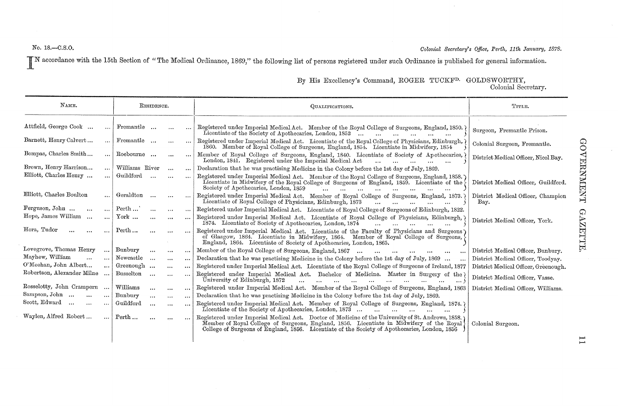No. 18.—C.S.O. **Colonial Secretary's Office, Perth, 11th January, 1878. Colonial Secretary's Office, Perth, 11th January, 1878.** 

IN accordance with the 15th Section of "The Medical Ordinance, 1869," the following list of persons registered under such Ordinance is published for general information.

|  |  |  | By His Excellency's Command, ROGER TUCKF <sup>D.</sup> GOLDSWORTHY, |
|--|--|--|---------------------------------------------------------------------|
|  |  |  |                                                                     |

Colonial Secretary.

| NAME.                                             |          |                | RESIDENCE. |          |                       | QUALIFICATIONS.                                                                                                                                                                                                                                                                                | TITLE.                                     |
|---------------------------------------------------|----------|----------------|------------|----------|-----------------------|------------------------------------------------------------------------------------------------------------------------------------------------------------------------------------------------------------------------------------------------------------------------------------------------|--------------------------------------------|
| Attfield, George Cook                             |          | Fremantle      |            | $\cdots$ | $\ddotsc$             | Registered under Imperial Medical Act. Member of the Royal College of Surgeons, England, 1850.)<br>Licentiate of the Society of Apothecaries, London, 1852<br>$\ddotsc$<br>$\ddotsc$<br>$\ddotsc$                                                                                              | Surgeon, Fremantle Prison.                 |
| Barnett, Henry Calvert                            |          | Fremantle      |            | $\cdots$ | $\cdots$              | Registered under Imperial Medical Act. Licentiate of the Royal College of Physicians, Edinburgh,<br>1860. Member of Royal College of Surgeons, England, 1854. Licentiate in Midwifery, 1854                                                                                                    | Colonial Surgeon, Fremantle.               |
| Bompas, Charles Smith                             | $\cdots$ | Roebourne      |            | $\cdots$ | $\cdots$              | Member of Royal College of Surgeons, England, 1840. Licentiate of Society of Apothecaries,<br>London, 1841. Registered under the Imperial Medical Act<br>and the state of the state of<br>$\cdots$                                                                                             | District Medical Officer, Nicol Bay.       |
| Brown, Henry Harrison<br>$\ddotsc$                |          | Williams River |            | $\cdots$ | $\cdots$              | Declaration that he was practising Medicine in the Colony before the 1st day of July, 1869.                                                                                                                                                                                                    |                                            |
| Elliott, Charles Henry                            | $\cdots$ | Guildford      | $\ddotsc$  | $\cdots$ | $\cdots$              | Registered under Imperial Medical Act. Member of the Royal College of Surgeons, England, 1858.<br>Licentiate in Midwifery of the Royal College of Surgeons of England, 1859. Licentiate of the<br>Society of Apothecaries, London, 1859<br>$\sim$<br>$\cdots$<br>$\cdots$<br>$\cdots$          | District Medical Officer, Guildford.       |
| Elliott, Charles Boulton<br>$\cdots$              |          | Geraldton      | $\cdots$   | $\cdots$ | $\cdots$              | Registered under Imperial Medical Act. Member of Royal College of Surgeons, England, 1873.<br>Licentiate of Royal College of Physicians, Edinburgh, 1873                                                                                                                                       | District Medical Officer, Champion<br>Bay. |
| Ferguson, John<br>$\ddotsc$<br>$\cdots$           |          | Perth          | $\cdots$   | $\cdots$ | $\cdots$              | Registered under Imperial Medical Act. Licentiate of Royal College of Surgeons of Edinburgh, 1822.                                                                                                                                                                                             |                                            |
| Hope, James William<br>$\cdots$<br>$\cdots$       |          | York           | $\cdots$   |          | $\cdots$              | Registered under Imperial Medical Act. Licentiate of Royal College of Physicians, Edinburgh,<br>1874. Licentiate of Society of Apothecaries, London, 1874                                                                                                                                      | District Medical Officer, York.            |
| Hora, Tudor<br>$\cdots$<br>$\cdots$               |          | Perth          | $\cdots$   | $\cdots$ |                       | Registered under Imperial Medical Act. Licentiate of the Faculty of Physicians and Surgeons<br>of Glasgow, 1864. Licentiate in Midwifery, 1864. Member of Royal College of Surgeons,<br>England, 1864. Licentiate of Society of Apothecaries, London, 1865.                                    |                                            |
| Lovegrove, Thomas Henry<br>$\cdots$               |          | Bunbury        | $\cdots$   | $\cdots$ | $\cdots$              | Member of the Royal College of Surgeons, England, 1867<br>$\cdots$<br>$\cdots$<br>$\cdots$<br>$\cdots$<br>$\cdots$                                                                                                                                                                             | District Medical Officer, Bunbury.         |
| Mayhew, William<br>$\ddotsc$<br>$\cdots$          |          | Newcastle      | $\cdots$   | $\cdots$ | $\cdots$              | Declaration that he was practising Medicine in the Colony before the 1st day of July, 1869                                                                                                                                                                                                     | District Medical Officer, Toodyay.         |
| O'Meehan, John Albert<br>$\cdots$                 |          | Greenough      |            | $\cdots$ | $\cdots$              | Registered under Imperial Medical Act. Licentiate of the Royal College of Surgeons of Ireland, 1877                                                                                                                                                                                            | District Medical Officer, Greenough.       |
| Robertson, Alexander Milne                        |          | Busselton      | $\ddotsc$  | $\cdots$ | $\cdots$              | Registered under Imperial Medical Act. Bachelor of Medicine. Master in Surgery of the<br>University of Edinburgh, 1872<br>$\cdots$                                                                                                                                                             | District Medical Officer, Vasse.           |
| Rosselotty, John Crampern<br>$\cdots$             |          | Williams       | $\cdots$   | $\cdots$ |                       | Registered under Imperial Medical Act. Member of the Royal College of Surgeons, England, 1863                                                                                                                                                                                                  | District Medical Officer, Williams.        |
| Sampson, John<br>$\sim$ $\sim$ $\sim$<br>$\ldots$ |          | Bunbury        | $\cdots$   | $\cdots$ | $\cdots$              | Declaration that he was practising Medicine in the Colony before the 1st day of July, 1869.                                                                                                                                                                                                    |                                            |
| Scott, Edward<br>$\cdots$<br>$\cdots$<br>$\cdots$ |          | Guildford      | $\cdots$   | $\cdots$ | $\bullet$ + $\bullet$ | Registered under Imperial Medical Act. Member of Royal College of Surgeons, England, 1874.)<br>Licentiate of the Society of Apothecaries, London, 1873<br>$\ddotsc$<br><b>Address Contract</b>                                                                                                 |                                            |
| Waylen, Alfred Robert<br>$\cdots$                 |          | Perth          | $\cdots$   | $\cdots$ |                       | Registered under Imperial Medical Act. Doctor of Medicine of the University of St. Andrews, 1858.<br>Member of Royal College of Surgeons, England, 1856. Licentiate in Midwifery of the Royal<br>College of Surgeons of England, 1856. Licentiate of the Society of Apothecaries, London, 1856 | Colonial Surgeon.                          |
|                                                   |          |                |            |          |                       |                                                                                                                                                                                                                                                                                                |                                            |

J-l J-l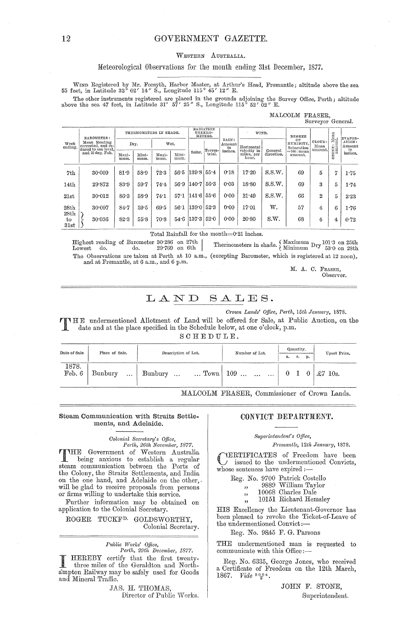# GOVERNMENT GAZETTE.

#### WESTERN AUSTRALIA.

#### Meteorological Observations for the month ending 31st December, 1877.

WIND Registered by Mr. Forsyth, Harbor Master, at Arthur's Head, Fremantle; altitude above the sea 55 feet, in Latitude 32° 02' 14" S., Longitude 115° 45' 12" E.

The other instruments registered are placed in the grounds adjoining the Survey Office, Perth; altitude above the sea 47 feet, in Latitude 31° 57′ 25″ S., Longitude 115° 52′ 02″ E.

| MALCOLM FRASER, |                   |  |
|-----------------|-------------------|--|
|                 | Surveyor General. |  |

|                    | BAROMETER:                                                | THERMOMETERS IN SHADE. |               |               |               | RADIATION<br>THERMO-<br>METERS. |         | WIND.                 |                           | DEGREE     |                               | Mean<br>ut.               | EVAPOR-   |                         |
|--------------------|-----------------------------------------------------------|------------------------|---------------|---------------|---------------|---------------------------------|---------|-----------------------|---------------------------|------------|-------------------------------|---------------------------|-----------|-------------------------|
| Week<br>ending.    | Mean Reading<br>corrected, and re-<br>duced to sea level. | Dry.                   |               | Wet.          |               |                                 | Terres- | RAIN:<br>Amount<br>in | Horizontal<br>velocity in | General    | OF<br>HUMIDITY,<br>Saturation | CLOUD:<br>Mean<br>amount. | ≓<br>ONE: | ATION:<br>Amount<br>in. |
| and 32 deg. Fah.   |                                                           | Maxi-<br>mum.          | Mini-<br>mum. | Maxi-<br>mum. | Mini-<br>mum. | Solar.                          | trial.  | inches.               | miles, per<br>hour.       | direction. | $=100$ : mean<br>amount.      |                           | Ñ<br>۰    | inches.                 |
| 7th                | 30.009                                                    | 81.9                   | 58.9          | 72.3          | 56.5          | $139.8$ 55.4                    |         | 0.18                  | 17.20                     | S.S.W.     | 69                            | 5                         | דו        | 1.75                    |
| 14th               | 29.872                                                    | 83.9                   | 59.7          | 74.4          | 56.9          | 140 7                           | 56.3    | 0.03                  | 18.80                     | S.S.W.     | 69                            | З                         | 5.        | 1.74                    |
| 21st               | 30.012                                                    | 86.3                   | 58.9          | 74.1          | $57 - 1$      | 141.6 55.6                      |         | 0.00                  | $21 - 49$                 | S.S.W.     | 66                            | 2                         | 5         | 2.23                    |
| 28th               | 30.097                                                    | 84.7                   | 59.5          | 69.5          | 56.1          | 1390523                         |         | 0.00                  | 17.01                     | w.         | 57                            | 4                         | 6.        | 1.76                    |
| 28th<br>to<br>31st | 30.036                                                    | 82.3                   | 55.8          | 70.8          | 54.6          | 137.3                           | 52.0    | 0.00                  | 20.80                     | S.W.       | 68                            | 4                         | 4         | 0.72                    |

Total Rainfall for the month=0.21 inches.

 $Highest$  reading of Barometer 30.286 on 27th  $29.769$  on 6th do. do. Lowest The Observations are taken at Perth at 10 a.m., (excepting Barometer, which is registered at 12 noon), and at Fremantle, at 6 a.m., and 6 p.m.

Thermometers in shade. <br>  $\left\{\begin{array}{c} \text{Maximum } \text{Dry } ^{101:3 \text{ on } 25 \text{th}} \\ \text{Minimum } \text{Dry } ^{53:0 \text{ on } 25 \text{th}} \end{array} \right.$ 

M. A. C. FRASER, Observer.

# LAND SALES.

Crown Lands' Office, Perth, 15th January, 1878.

THE undermentioned Allotment of Land will be offered for Sale, at Public Auction, on the date and at the place specified in the Schedule below, at one o'clock, p.m.

SCHEDULE.

| Date of Sale              | Place of Sale.      | Description of Lot. | Number of Lot.                                        | Quantity.<br>r.<br>р.<br>а. |                |  | Upset Price.  |  |  |
|---------------------------|---------------------|---------------------|-------------------------------------------------------|-----------------------------|----------------|--|---------------|--|--|
| 1878.<br>Feb. $6^{\circ}$ | Bunbury<br>$\cdots$ | Bunbury             | $\ldots$ $\ldots$ Town 109 $\ldots$ $\ldots$ $\ldots$ |                             | 0 <sub>1</sub> |  | $0 + £7$ 10s. |  |  |

MALCOLM FRASER, Commissioner of Crown Lands.

#### Steam Communication with Straits Settlements, and Adelaide.

Colonial Secretary's Office, Perth, 26th November, 1877.

THE Government of Western Australia steam communication between the Ports of the Colony, the Straits Settlements, and India<br>on the one hand, and Adelaide on the other,. will be glad to receive proposals from persons or firms willing to undertake this service.

Further information may be obtained on application to the Colonial Secretary.

ROGER TUCKF<sup>D.</sup> GOLDSWORTHY, Colonial Secretary.

Public Works' Office,<br>Perth, 29th December, 1877.

HEREBY certify that the first twentythree miles of the Geraldton and Northa'mpton Railway may be safely used for Goods and Mineral Traffic.

> JAS. H. THOMAS, Director of Public Works.

#### CONVICT DEPARTMENT.

#### Superintendent's Office,

#### Fremantle, 12th January, 1878.

YERTIFICATES of Freedom have been  $\overline{\mathcal{L}}$  issued to the undermentioned Convicts, whose sentences have expired :-

 $\begin{tabular}{ll} Reg. No. 9700 Patrick Costello\\ & \vspace{0.0ex} & 9889 William Taylor\\ & \vspace{0.0ex} , & 10068 Charles Dale\\ \end{tabular}$ 

- 
- $\overline{\mathbf{z}}$ 10151 Richard Hemsley

 $, 1$ 

HIS Excellency the Lieutenant-Governor has been pleased to revoke the Ticket-of-Leave of the undermentioned Convict:-

#### Reg. No. 9845 F. G. Parsons

THE undermentioned man is requested to communicate with this Office:-

Reg. No. 6335, George Jones, who received a Certificate of Freedom on the 12th March, 1867. Vide 2004.

> JOHN F. STONE, Superintendent.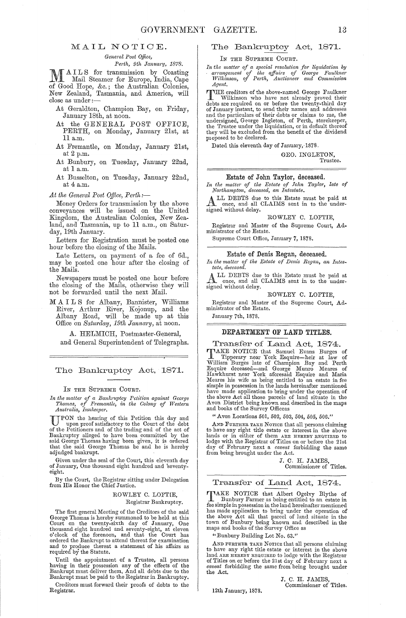#### MAIL NOTIOE.

*General Post Office,* 

**Perfect of AILS** for transmission by Coasting MAILS for transmission by Coasting<br>
Mail Steamer for Europe, India, Cape<br>
of Coast Hume for the Apptentier Colorian of Good Hope, &c.; the Australian Colonies, New Zealand, Tasmania, and America, will<br>close as under :—

At Geraldton, Champion Bay, on Friday, January 18th, at noon.

- At the GENERAL POST OFFICE, PERTH, on Monday, January 21st, at 11 a.m.
- At Fremantle, on Monday, January 21st, at 2 p.m.
- At Bunbury, on Tuesday, January 22nd, at 1 a.m.
- At Busselton, on Tuesday, January 22nd, at 4 a.m.

At the General Post Office, Perth:--

Money Orders for transmission by the above conveyances will be issued on the United Kingdom, the Australian Colonies, New Zealand, and Tasmania, up to 11 a.m., on Saturday, 19th January.

Letters for Registration must be posted one hour before the closing of the Mails.

Late Letters, on payment of a fee of 6d., may be posted one hour after the closing of the Mails.

Newspapers must be posted one hour before the closing of the Mails, otherwise they will not be forwarded until the next Mail.

*M* A I L S for Albany, Bannister, Williams River, Arthur River, Kojonup, and the Albany Road, will be made up at this Office on *Saturday, 19th January*, at noon.

A. HELMICH, Postmaster-General, and General Superintendent of Telegraphs.

The Bankruptcy Act, 1871.

#### IN THE SUPREME COURT.

*In the matter of a Bankruptcy Petition against George* Thomas, of Fremantle, in the Colony of Western *Thomas, of Fremantle, in the Colony of Western Australia, Innkeeper,*<br> **TPON** the hearing of this Petition this day and<br>
upon proof others is the limit

UPON the hearing of this Petition this day and<br>oppon proof satisfactory to the Court of the debt<br>of the Petitioners and of the trading and of the act of<br>Bankruptcy alleged to have been committed by the<br>said George Thomas h

Given under the seal of the Court, this eleventh day of January, One thousand eight hundred and "seventyeight.

By the Court, the Registrar sitting under Delegation from His Honor the Chief Justice.

> ROWLEY C. LOFTIE, Registrar Bankruptcy.

The first general Meeting of the Creditors of the said George Thomas is hereby summoned to be held at this Court on the twenty-sixth day of January, One thousand eight hundred and seventy-eight, at eleven o'clock of the forenoon, and that the Court has ordered the Bankrupt to and to produce thereat a statement of his affairs as required by the Statute.

Until the appointment of a Trustee, all persons having in their possession any of the effects of the Bankrupt must deliver them, And all debts due to the Bankrupt must be paid to the Registrar in Bankruptcy.

Creditors must forward their proofs of debts to the Registrar.

#### The Bankruptcy Act, 187l.

IN THE SUPREME COURT.

*In the matter of a special "esolution for liquidation by a1'rangement of the affairs of Gem'ge Faulknel' TVilkinson, of Perth, Auctioneer and Commission Agent.* 

THE creditors of the above-named George Faulkner<br>debts are required on or before the twenty-third day<br>of January instant, to send their names and addresses and the particulars of their debts or claims to me, the undersigned, George Ingleton, of Perth, storekeeper,<br>the Trustee under the liquidation, or in default thereof they will be excluded from the benefit of the dividend proposed to be declared.

Dated this eleventh day of January, 1878.

GEO. INGLETON, Trustee.

Estate of John Taylor, deceased.

In the matter of the Estate of John Taylor, late of *Northampton, deceased, an Intestate*.

ALL DEBTS due to this Estate must be paid at  $\overline{C}$ . and all CLAIMS sent in to the undersigned without delay.

#### RO WLEY C. LOFTIE,

Registrar and Master of the Supreme Court, Administrator of the Estate.

Supreme Court Office, January 7, 1878.

### Estate of Denis Regan, deceased.

In the matter of the Estate of Denis Regan, an Intes*tate, deceased.* 

ALL DEBTS due to this Estate must be paid at once, and all CLAIMS sent in to the under-signed without delay.

#### ROWLEY C. LOFTIE,

Registrar and Master of the Supreme Court, Ad-ministrator of the Estate.

January 7th, 1878.

#### DEPARTMENT **OF** LAND TITLES.

Transfer of Land Act, 1874. TIMAKE NOTICE that Samuel Evans Burges of Tipperary near York Esquire—heir at law of William Burges late of Champion Bay and Perth Esquire deceased—and George Munro Meares of Hawkhurst near York aforesaid Esquire and Maria have made application to bring under the operation of the above Act all those parcels of land situate in the Avon District being known and described in the maps and books of the Survey Officeas

" Avon Locations 501, 502, 503, 504, 505, 506."

AND FURTHER TAKE NOTICE that all persons claiming to have any right title estate or interest in the above lands or in either of them ARE HEREBY REQUIRED to lodge with the Registrar of Titles on or before the 21st day of February next a *caveat* forbidding the same from being brought nnder the Act.

> J. C. H. JAMES, Commissioner of Titles.

#### Transfer of Land Act, 1874.

TAKE NOTICE that Albert Ogelvy Blythe of Bunbmy Farmer as being entitled to an estate in fee simple in possession in the land hereinafter mentioned has made application to bring under the operation of the above Act all that parcel of land situate in the town of Bunbury being known and described in the maps and books of the Survey Office as

"Bunbury Building Lot No. 63."

12th January, 1878.

AND FURTHER TAKE NOTICE that all persons claiming to have any right title estate or interest in the above<br>land ARE HEREBY REQUIRED to lodge with the Registrar<br>of Titles on or before the 21st day of February next a<br>caveat forbidding the same from being brought under the Act.

> J. C. H. JAMES, Commissioner of Titles.